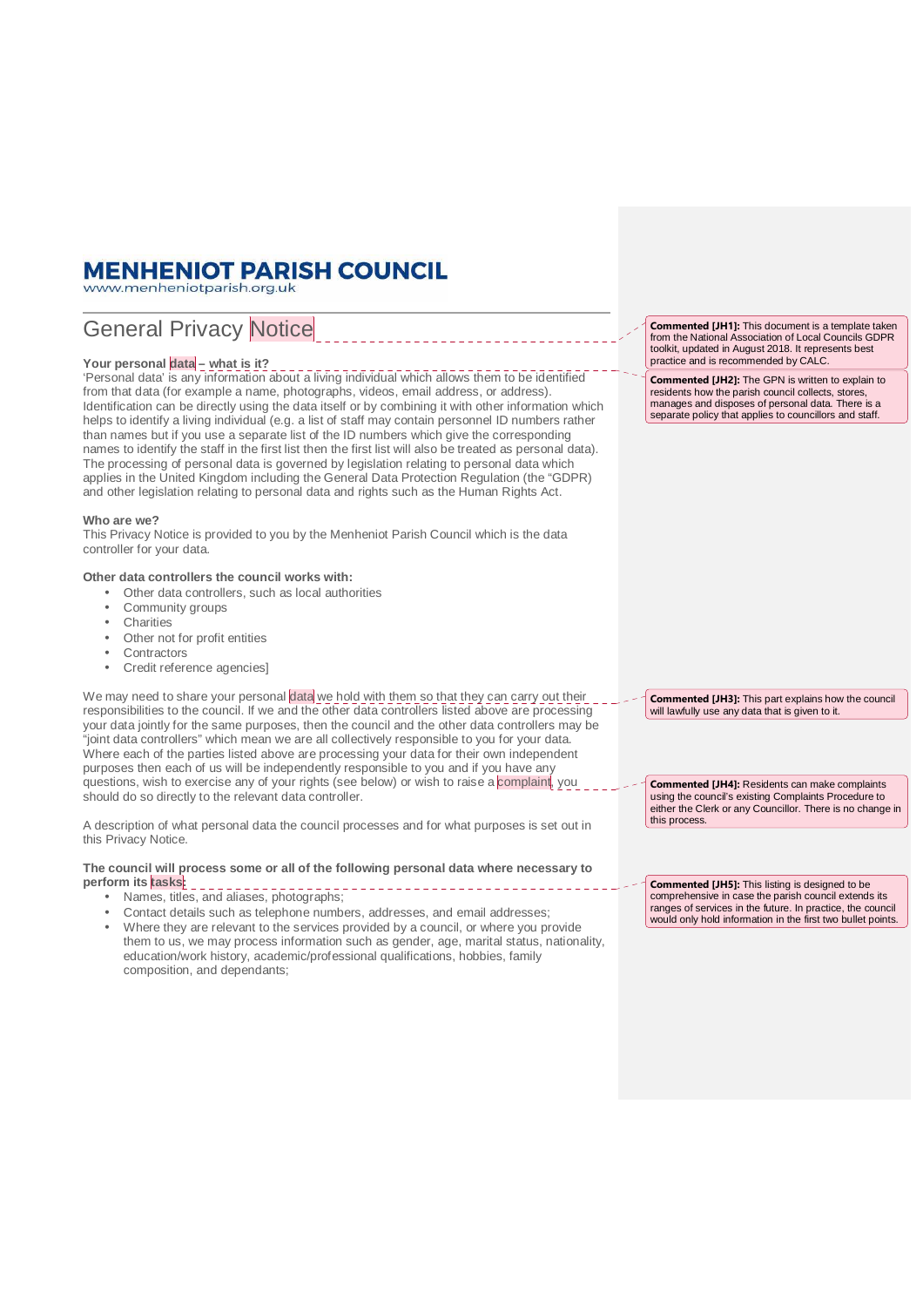# **MENHENIOT PARISH COUNCIL**

www.menheniotparish.org.uk

# General Privacy Notice

# Your personal data - what is it?

'Personal data' is any information about a living individual which allows them to be identified from that data (for example a name, photographs, videos, email address, or address). Identification can be directly using the data itself or by combining it with other information which helps to identify a living individual (e.g. a list of staff may contain personnel ID numbers rather than names but if you use a separate list of the ID numbers which give the corresponding names to identify the staff in the first list then the first list will also be treated as personal data). The processing of personal data is governed by legislation relating to personal data which applies in the United Kingdom including the General Data Protection Regulation (the "GDPR) and other legislation relating to personal data and rights such as the Human Rights Act.

# **Who are we?**

This Privacy Notice is provided to you by the Menheniot Parish Council which is the data controller for your data.

# **Other data controllers the council works with:**

- Other data controllers, such as local authorities
- Community groups
- **Charities**
- Other not for profit entities
- **Contractors**
- Credit reference agencies]

We may need to share your personal data we hold with them so that they can carry out their responsibilities to the council. If we and the other data controllers listed above are processing your data jointly for the same purposes, then the council and the other data controllers may be "joint data controllers" which mean we are all collectively responsible to you for your data. Where each of the parties listed above are processing your data for their own independent purposes then each of us will be independently responsible to you and if you have any questions, wish to exercise any of your rights (see below) or wish to raise a complaint, you should do so directly to the relevant data controller.

A description of what personal data the council processes and for what purposes is set out in this Privacy Notice.

**The council will process some or all of the following personal data where necessary to**  perform its tasks:

- Names, titles, and aliases, photographs;
- Contact details such as telephone numbers, addresses, and email addresses;

Commented [JH1]: This document is a template taken from the National Association of Local Councils GDPR toolkit, updated in August 2018. It represents best practice and is recommended by CALC.

Commented [JH2]: The GPN is written to explain to residents how the parish council collects, stores, manages and disposes of personal data. There is a separate policy that applies to councillors and staff.

Commented [JH3]: This part explains how the council will lawfully use any data that is given to it.

Commented [JH4]: Residents can make complaints using the council's existing Complaints Procedure to either the Clerk or any Councillor. There is no change in this process.

Commented [JH5]: This listing is designed to be comprehensive in case the parish council extends its ranges of services in the future. In practice, the council would only hold information in the first two bullet points.

<sup>•</sup> Where they are relevant to the services provided by a council, or where you provide them to us, we may process information such as gender, age, marital status, nationality, education/work history, academic/professional qualifications, hobbies, family composition, and dependants;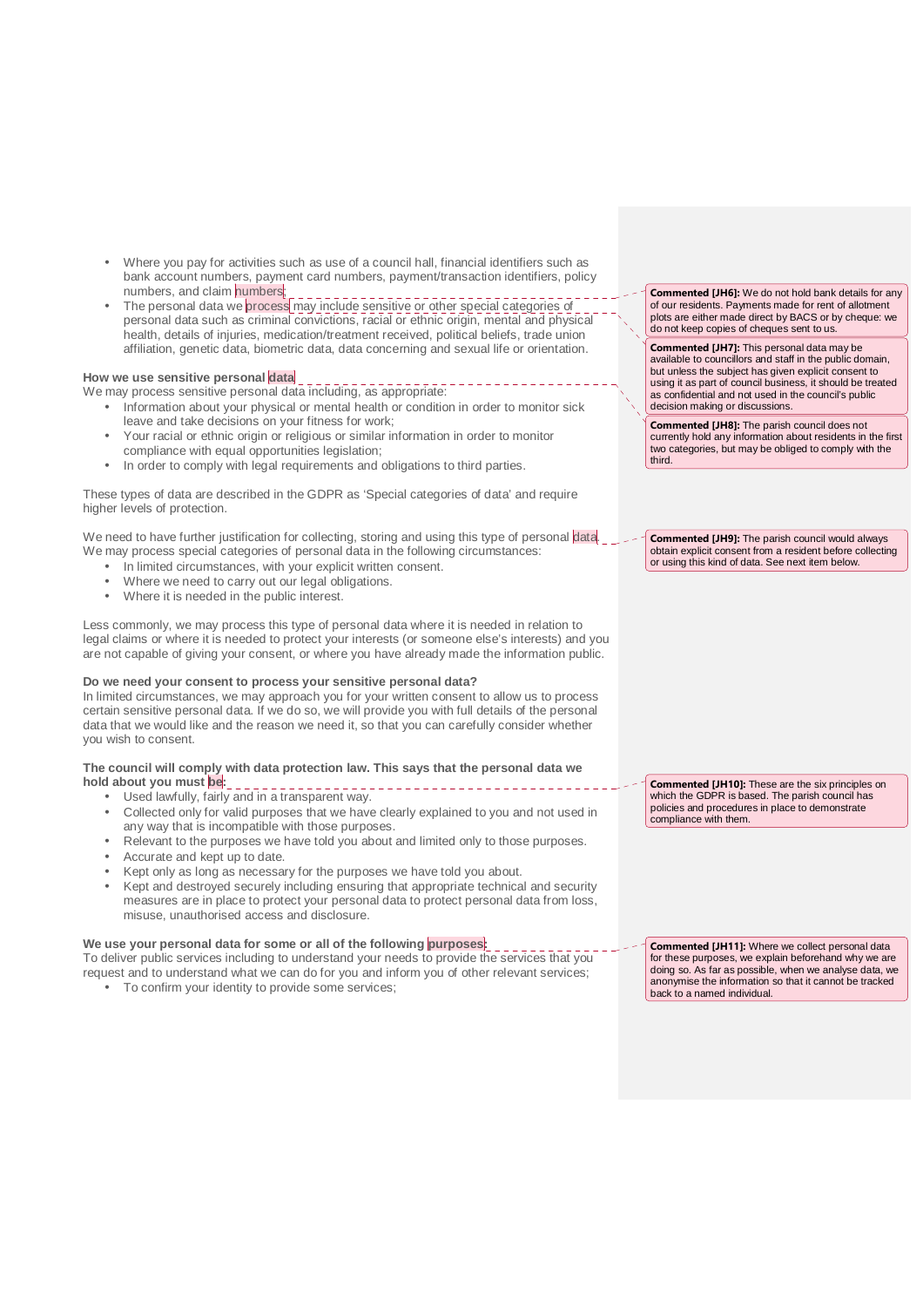- Where you pay for activities such as use of a council hall, financial identifiers such as bank account numbers, payment card numbers, payment/transaction identifiers, policy numbers, and claim numbers;
- The personal data we process may include sensitive or other special categories of personal data such as criminal convictions, racial or ethnic origin, mental and physical health, details of injuries, medication/treatment received, political beliefs, trade union affiliation, genetic data, biometric data, data concerning and sexual life or orientation.

# **How we use sensitive personal data**

We may process sensitive personal data including, as appropriate:

- Information about your physical or mental health or condition in order to monitor sick leave and take decisions on your fitness for work;
- Your racial or ethnic origin or religious or similar information in order to monitor compliance with equal opportunities legislation;
- In order to comply with legal requirements and obligations to third parties.

These types of data are described in the GDPR as 'Special categories of data' and require higher levels of protection.

We need to have further justification for collecting, storing and using this type of personal data. We may process special categories of personal data in the following circumstances:

- In limited circumstances, with your explicit written consent.
- Where we need to carry out our legal obligations.
- Where it is needed in the public interest.

Less commonly, we may process this type of personal data where it is needed in relation to legal claims or where it is needed to protect your interests (or someone else's interests) and you are not capable of giving your consent, or where you have already made the information public.

#### **Do we need your consent to process your sensitive personal data?**

In limited circumstances, we may approach you for your written consent to allow us to process certain sensitive personal data. If we do so, we will provide you with full details of the personal data that we would like and the reason we need it, so that you can carefully consider whether you wish to consent.

#### **The council will comply with data protection law. This says that the personal data we hold about you must be:**

- Used lawfully, fairly and in a transparent way.
- Collected only for valid purposes that we have clearly explained to you and not used in any way that is incompatible with those purposes.
- Relevant to the purposes we have told you about and limited only to those purposes.
- Accurate and kept up to date.
- Kept only as long as necessary for the purposes we have told you about.
- Kept and destroyed securely including ensuring that appropriate technical and security measures are in place to protect your personal data to protect personal data from loss, misuse, unauthorised access and disclosure.

#### We use your personal data for some or all of the following **purposes**:

To deliver public services including to understand your needs to provide the services that you request and to understand what we can do for you and inform you of other relevant services;

• To confirm your identity to provide some services;

Commented [JH6]: We do not hold bank details for any of our residents. Payments made for rent of allotment plots are either made direct by BACS or by cheque: we do not keep copies of cheques sent to us.

Commented [JH7]: This personal data may be available to councillors and staff in the public domain, but unless the subject has given explicit consent to using it as part of council business, it should be treated as confidential and not used in the council's public decision making or discussions.

Commented [JH8]: The parish council does not currently hold any information about residents in the first two categories, but may be obliged to comply with the third.

Commented [JH9]: The parish council would always obtain explicit consent from a resident before collecting or using this kind of data. See next item below.

Commented [JH10]: These are the six principles on which the GDPR is based. The parish council has policies and procedures in place to demonstrate compliance with them.

Commented [JH11]: Where we collect personal data for these purposes, we explain beforehand why we are doing so. As far as possible, when we analyse data, we anonymise the information so that it cannot be tracked back to a named individual.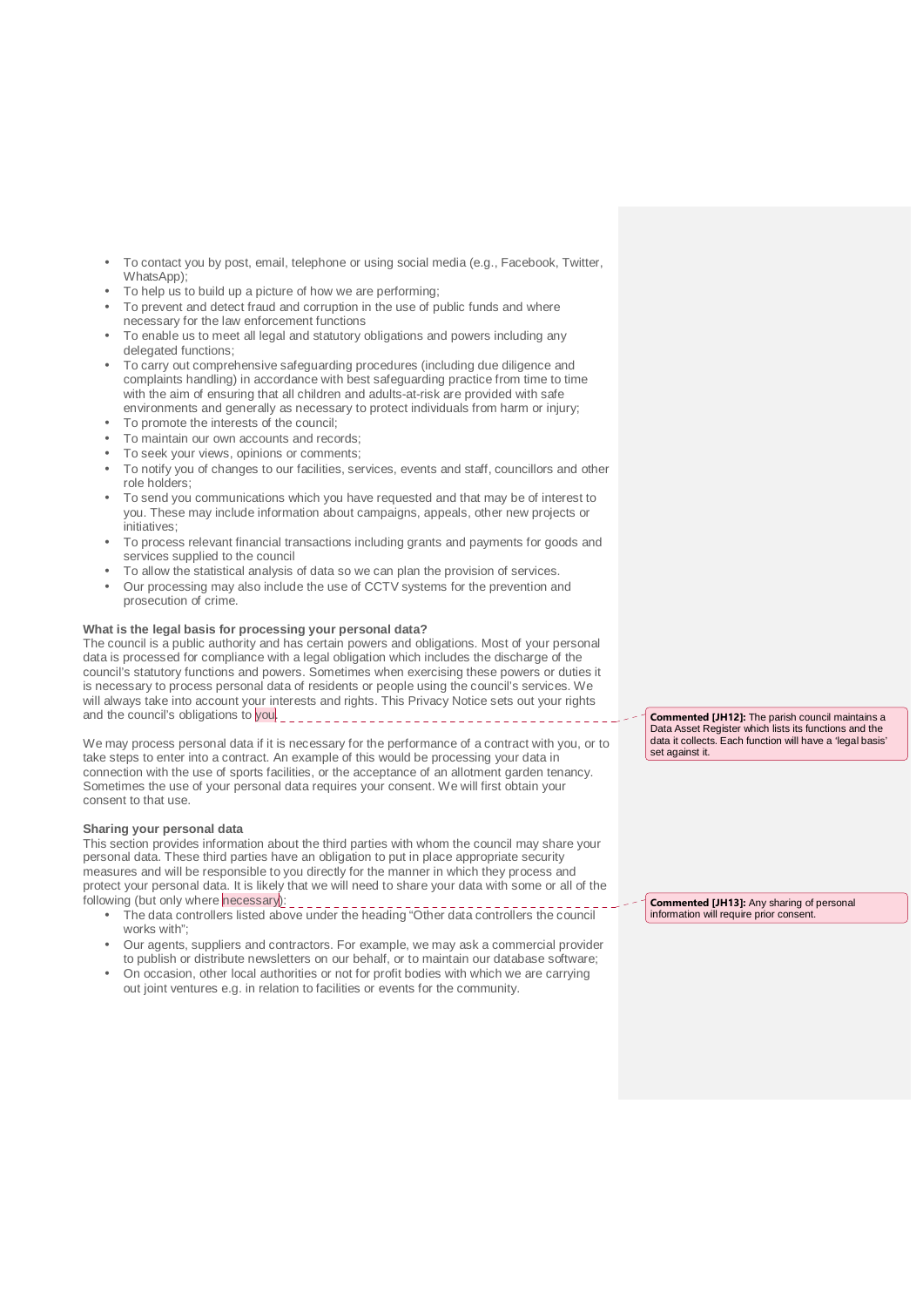- To contact you by post, email, telephone or using social media (e.g., Facebook, Twitter, WhatsApp);
- To help us to build up a picture of how we are performing;
- To prevent and detect fraud and corruption in the use of public funds and where necessary for the law enforcement functions
- To enable us to meet all legal and statutory obligations and powers including any delegated functions;
- To carry out comprehensive safeguarding procedures (including due diligence and complaints handling) in accordance with best safeguarding practice from time to time with the aim of ensuring that all children and adults-at-risk are provided with safe environments and generally as necessary to protect individuals from harm or injury;
- To promote the interests of the council:
- To maintain our own accounts and records;
- To seek your views, opinions or comments;
- To notify you of changes to our facilities, services, events and staff, councillors and other role holders;
- To send you communications which you have requested and that may be of interest to you. These may include information about campaigns, appeals, other new projects or initiatives;
- To process relevant financial transactions including grants and payments for goods and services supplied to the council
- To allow the statistical analysis of data so we can plan the provision of services.
- Our processing may also include the use of CCTV systems for the prevention and prosecution of crime.

# **What is the legal basis for processing your personal data?**

The council is a public authority and has certain powers and obligations. Most of your personal data is processed for compliance with a legal obligation which includes the discharge of the council's statutory functions and powers. Sometimes when exercising these powers or duties it is necessary to process personal data of residents or people using the council's services. We will always take into account your interests and rights. This Privacy Notice sets out your rights and the council's obligations to you.

We may process personal data if it is necessary for the performance of a contract with you, or to take steps to enter into a contract. An example of this would be processing your data in connection with the use of sports facilities, or the acceptance of an allotment garden tenancy. Sometimes the use of your personal data requires your consent. We will first obtain your consent to that use.

#### **Sharing your personal data**

This section provides information about the third parties with whom the council may share your personal data. These third parties have an obligation to put in place appropriate security measures and will be responsible to you directly for the manner in which they process and protect your personal data. It is likely that we will need to share your data with some or all of the following (but only where necessary):

- The data controllers listed above under the heading "Other data controllers the council works with":
- Our agents, suppliers and contractors. For example, we may ask a commercial provider to publish or distribute newsletters on our behalf, or to maintain our database software;
- On occasion, other local authorities or not for profit bodies with which we are carrying out joint ventures e.g. in relation to facilities or events for the community.

Commented [JH12]: The parish council maintains a Data Asset Register which lists its functions and the data it collects. Each function will have a 'legal basis' set against it.

Commented [JH13]: Any sharing of personal information will require prior consent.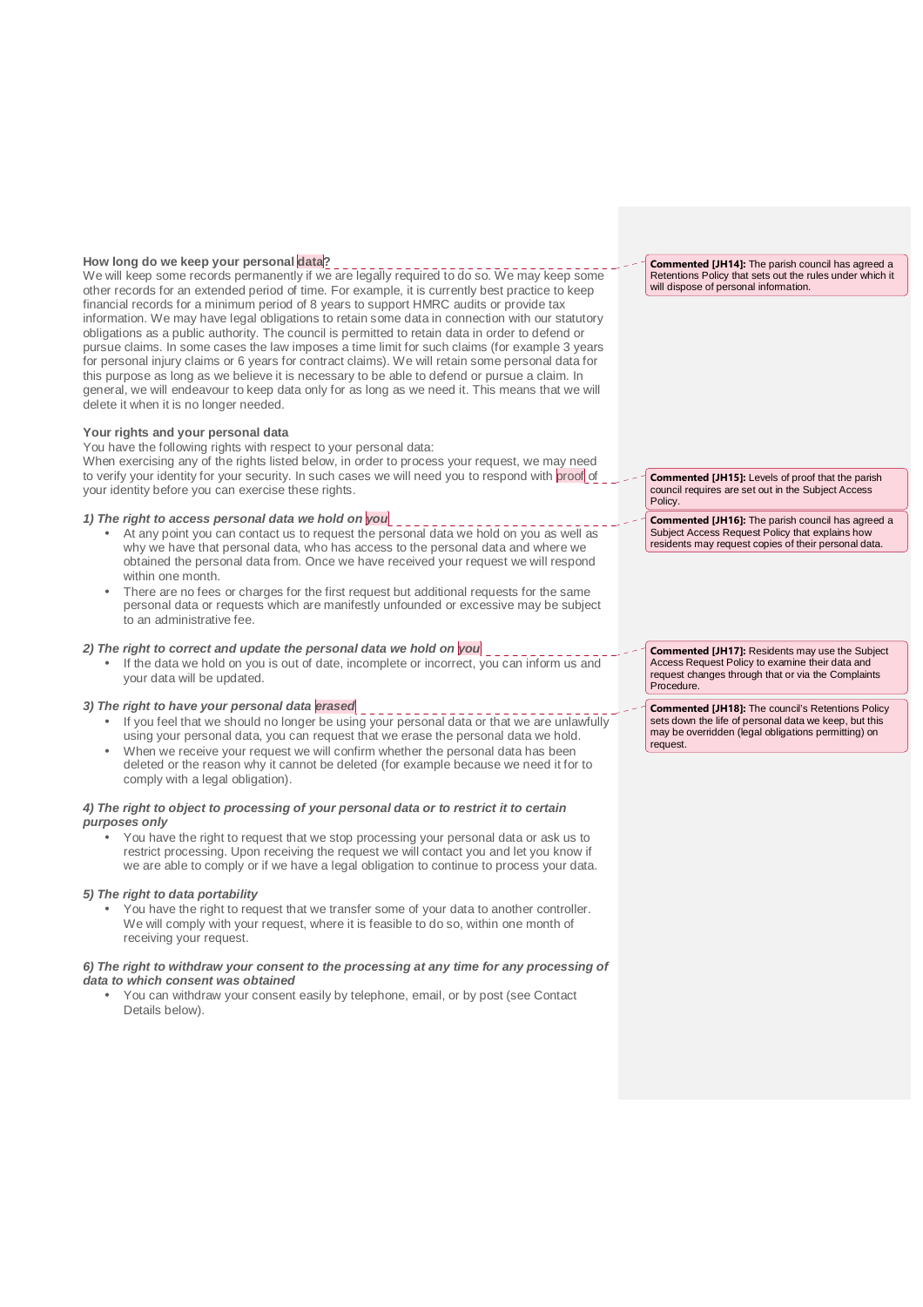# **How long do we keep your personal data?**

We will keep some records permanently if we are legally required to do so. We may keep some other records for an extended period of time. For example, it is currently best practice to keep financial records for a minimum period of 8 years to support HMRC audits or provide tax information. We may have legal obligations to retain some data in connection with our statutory obligations as a public authority. The council is permitted to retain data in order to defend or pursue claims. In some cases the law imposes a time limit for such claims (for example 3 years for personal injury claims or 6 years for contract claims). We will retain some personal data for this purpose as long as we believe it is necessary to be able to defend or pursue a claim. In general, we will endeavour to keep data only for as long as we need it. This means that we will delete it when it is no longer needed.

# **Your rights and your personal data**

You have the following rights with respect to your personal data: When exercising any of the rights listed below, in order to process your request, we may need

to verify your identity for your security. In such cases we will need you to respond with proof of your identity before you can exercise these rights.

# **1) The right to access personal data we hold on you**

- At any point you can contact us to request the personal data we hold on you as well as why we have that personal data, who has access to the personal data and where we obtained the personal data from. Once we have received your request we will respond within one month.
- There are no fees or charges for the first request but additional requests for the same personal data or requests which are manifestly unfounded or excessive may be subject to an administrative fee.

#### **2) The right to correct and update the personal data we hold on you**

• If the data we hold on you is out of date, incomplete or incorrect, you can inform us and your data will be updated.

# **3) The right to have your personal data erased**

- If you feel that we should no longer be using your personal data or that we are unlawfully using your personal data, you can request that we erase the personal data we hold.
- When we receive your request we will confirm whether the personal data has been deleted or the reason why it cannot be deleted (for example because we need it for to comply with a legal obligation).

# **4) The right to object to processing of your personal data or to restrict it to certain purposes only**

• You have the right to request that we stop processing your personal data or ask us to restrict processing. Upon receiving the request we will contact you and let you know if we are able to comply or if we have a legal obligation to continue to process your data.

#### **5) The right to data portability**

• You have the right to request that we transfer some of your data to another controller. We will comply with your request, where it is feasible to do so, within one month of receiving your request.

#### **6) The right to withdraw your consent to the processing at any time for any processing of data to which consent was obtained**

• You can withdraw your consent easily by telephone, email, or by post (see Contact Details below).

Commented [JH14]: The parish council has agreed a Retentions Policy that sets out the rules under which it will dispose of personal information.

Commented [JH15]: Levels of proof that the parish council requires are set out in the Subject Access Policy.

Commented [JH16]: The parish council has agreed a Subject Access Request Policy that explains how residents may request copies of their personal data.

Commented [JH17]: Residents may use the Subject Access Request Policy to examine their data and request changes through that or via the Complaints Procedure.

Commented [JH18]: The council's Retentions Policy sets down the life of personal data we keep, but this may be overridden (legal obligations permitting) on request